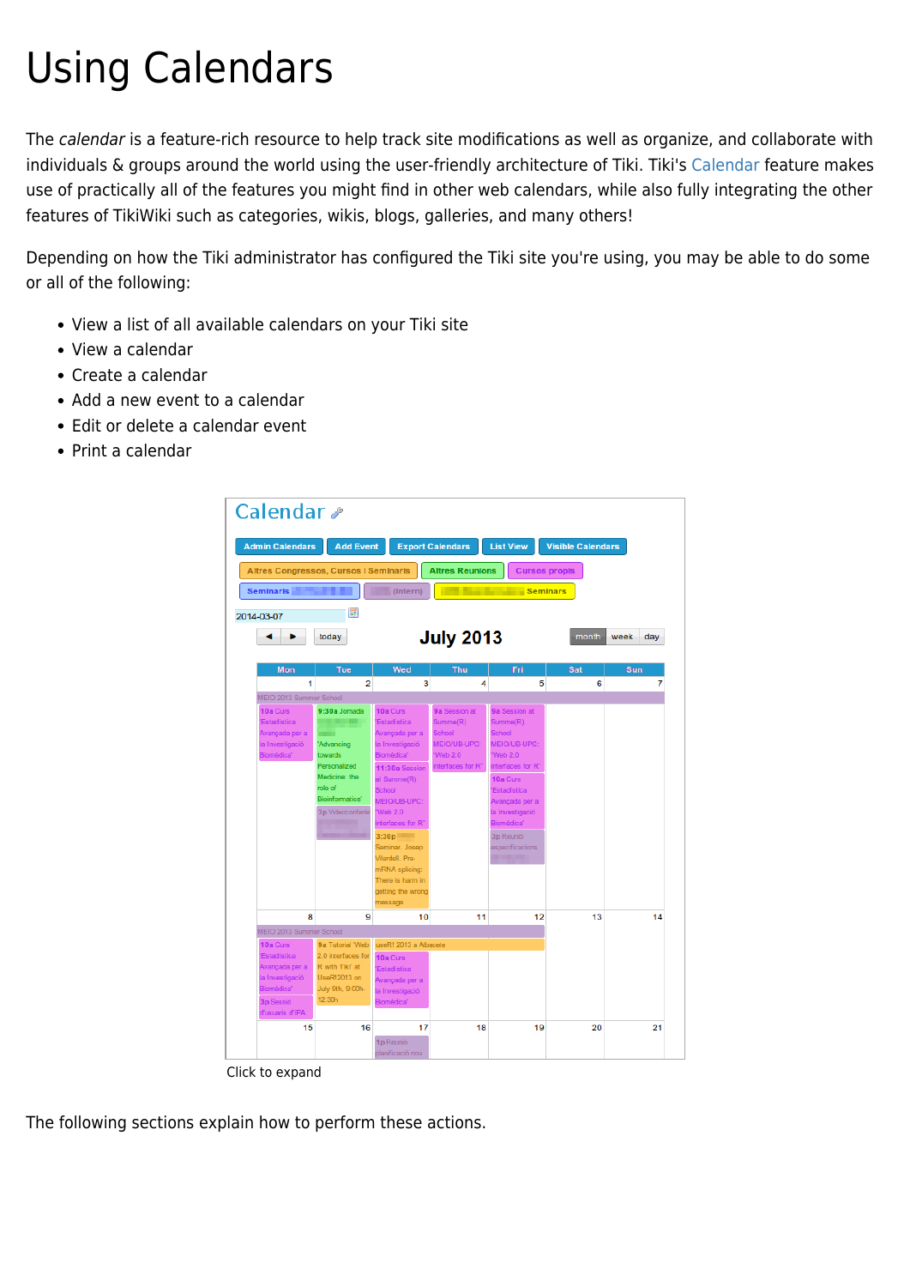# Using Calendars

The calendar is a feature-rich resource to help track site modifications as well as organize, and collaborate with individuals & groups around the world using the user-friendly architecture of Tiki. Tiki's [Calendar](https://doc.tiki.org/Calendar) feature makes use of practically all of the features you might find in other web calendars, while also fully integrating the other features of TikiWiki such as categories, wikis, blogs, galleries, and many others!

Depending on how the Tiki administrator has configured the Tiki site you're using, you may be able to do some or all of the following:

- View a list of all available calendars on your Tiki site
- View a calendar
- Create a calendar
- Add a new event to a calendar
- Edit or delete a calendar event
- $\bullet$  Print a calendar



Click to expand

The following sections explain how to perform these actions.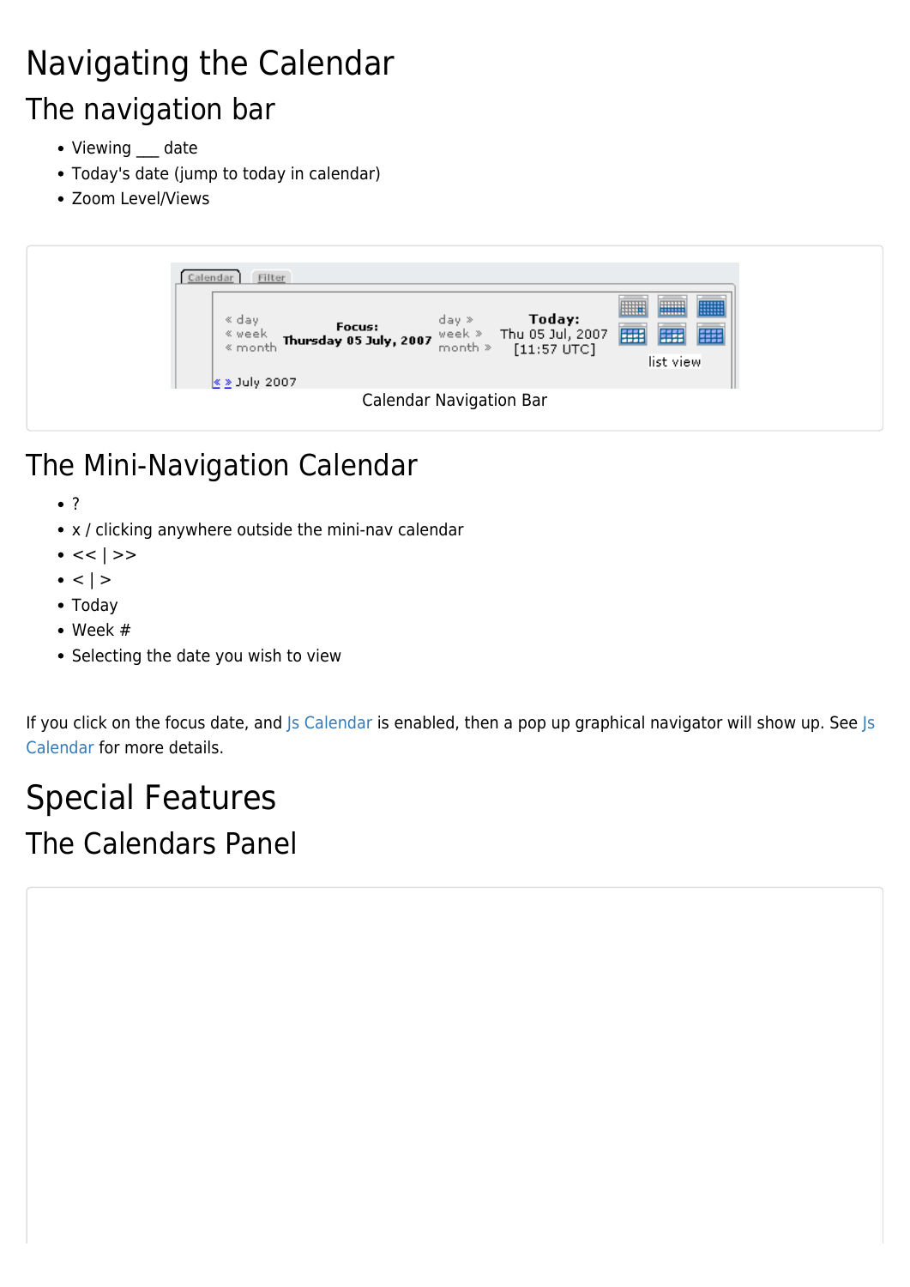# Navigating the Calendar The navigation bar

- Viewing \_\_\_ date
- Today's date (jump to today in calendar)
- Zoom Level/Views

| Filter<br>Calendar<br><b>WWW</b><br>WWW<br>HIIII<br>--------<br>-------<br>ay day day <b>Today:</b><br>sweek <b>Thursday 05 July, 2007</b> week ≫ Thu 05 Jul, 2007<br>smonth » [11:57 UTC]<br>  開<br>  開<br>list view |
|-----------------------------------------------------------------------------------------------------------------------------------------------------------------------------------------------------------------------|
| $\&$ > July 2007                                                                                                                                                                                                      |
| <b>Calendar Navigation Bar</b>                                                                                                                                                                                        |

- The Mini-Navigation Calendar
	- ?
	- x / clicking anywhere outside the mini-nav calendar
	- $\bullet \, << \, | >>$
	- $\cdot$  <  $| >$
	- Today
	- Week #
	- Selecting the date you wish to view

If you click on the focus date, and [Js Calendar](https://doc.tiki.org/Js-Calendar) is enabled, then a pop up graphical navigator will show up. See [Js](https://doc.tiki.org/Js-Calendar) [Calendar](https://doc.tiki.org/Js-Calendar) for more details.

## Special Features The Calendars Panel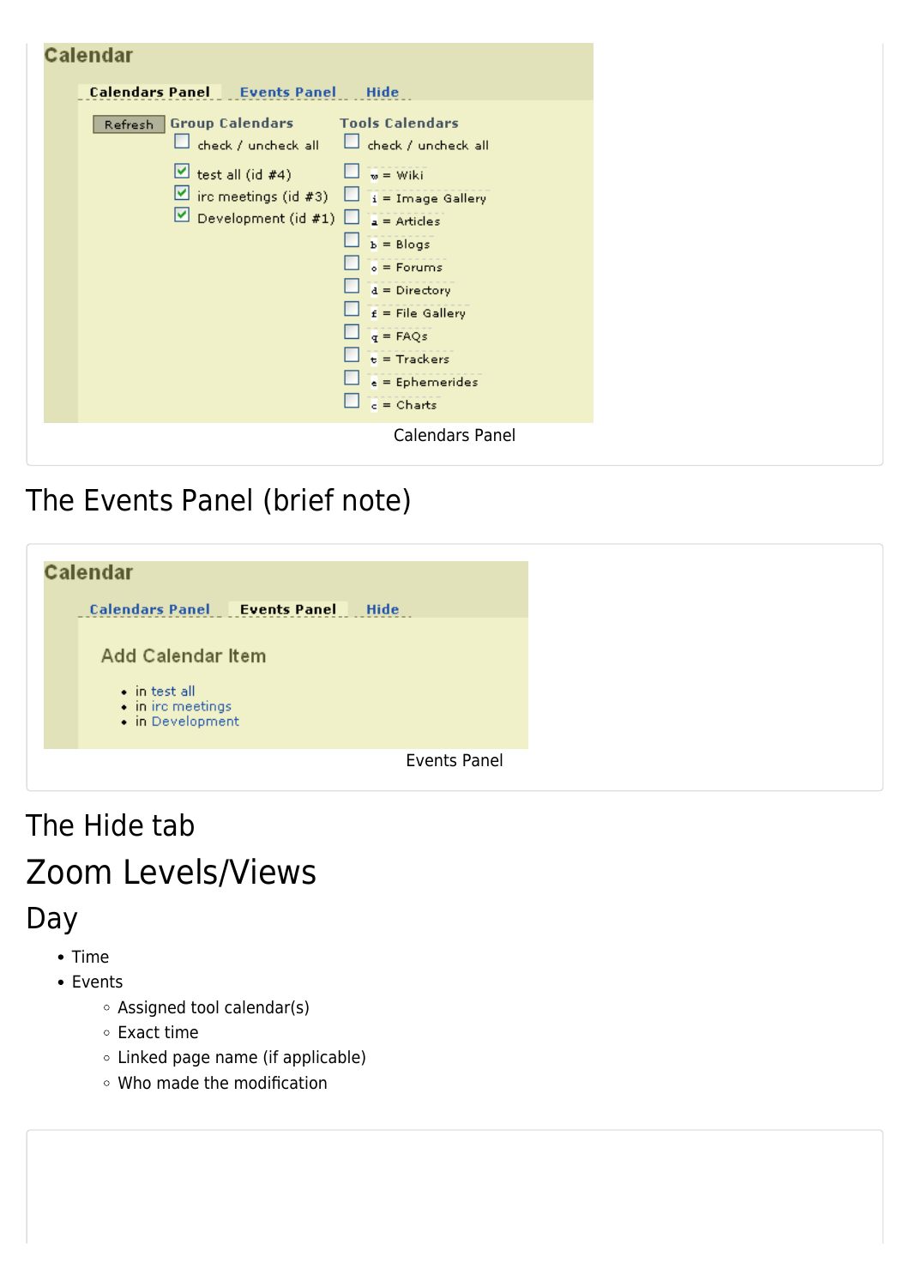| $q = FAQs$<br>$t =$ Trackers<br>$e =$ Ephemerides<br>$c =$ Charts |
|-------------------------------------------------------------------|
|-------------------------------------------------------------------|

### The Events Panel (brief note)

| Calendar                                                                                             |                     |
|------------------------------------------------------------------------------------------------------|---------------------|
| <b>Calendars Panel Events Panel</b>                                                                  | Hide                |
| <b>Add Calendar Item</b><br>$\bullet$ in test all.<br>$\bullet$ in irc meetings.<br>• in Development |                     |
|                                                                                                      | <b>Events Panel</b> |

# The Hide tab Zoom Levels/Views

#### Day

- Time
- Events
	- Assigned tool calendar(s)
	- Exact time
	- Linked page name (if applicable)
	- Who made the modification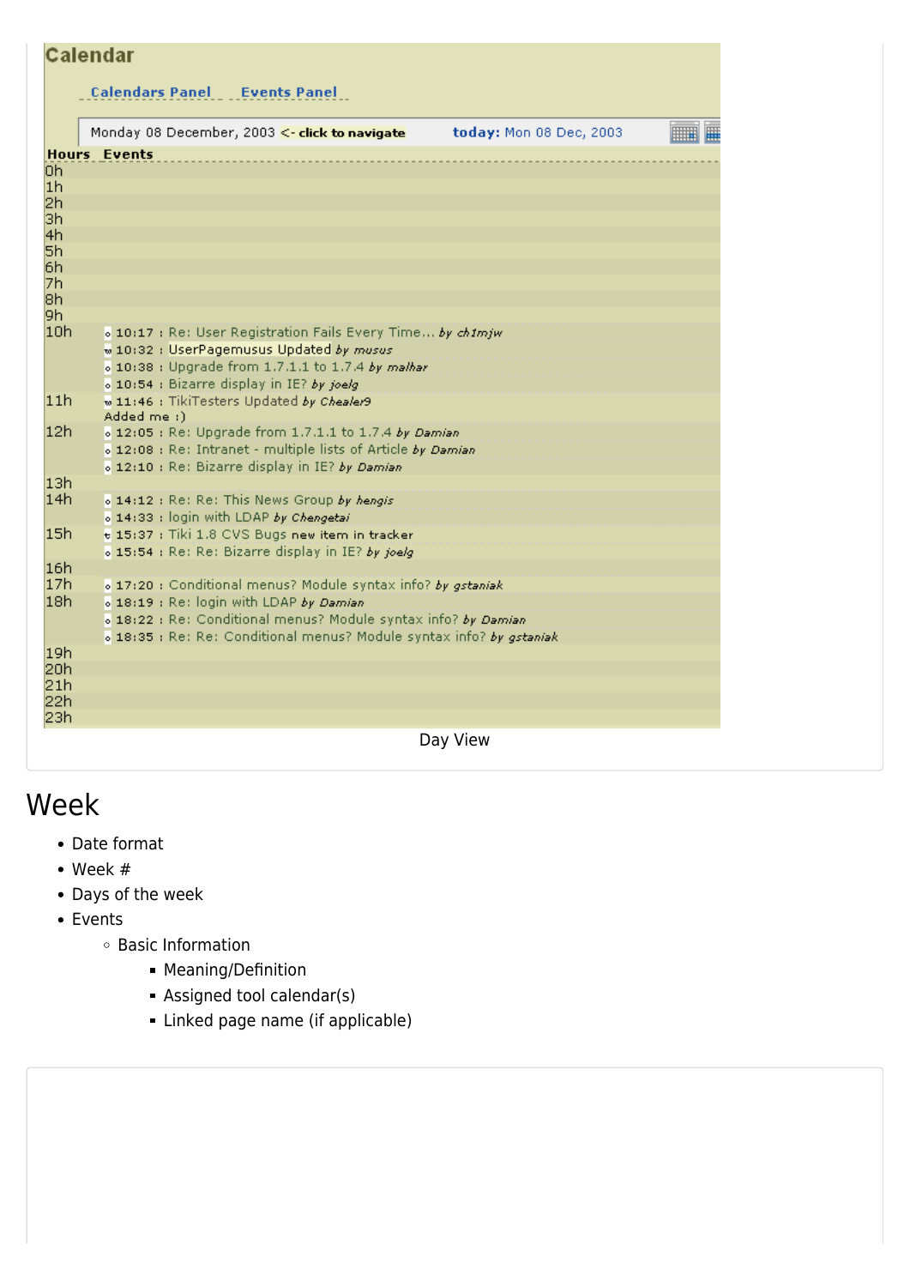|                | <b>Calendar</b>                                                      |                         |  |
|----------------|----------------------------------------------------------------------|-------------------------|--|
|                | <b>Calendars Panel Events Panel</b>                                  |                         |  |
|                | Monday 08 December, 2003 <- click to navigate                        | today: Mon 08 Dec, 2003 |  |
|                | <b>Hours Events</b>                                                  |                         |  |
| 0h             |                                                                      |                         |  |
| 1 <sub>h</sub> |                                                                      |                         |  |
| 2h             |                                                                      |                         |  |
| Зh             |                                                                      |                         |  |
| 4h             |                                                                      |                         |  |
| 5h             |                                                                      |                         |  |
| 6h             |                                                                      |                         |  |
| 7h             |                                                                      |                         |  |
| 8h             |                                                                      |                         |  |
| l9h.           |                                                                      |                         |  |
| 10h            | o 10:17 : Re: User Registration Fails Every Time by chimjw           |                         |  |
|                | w 10:32 : UserPagemusus Updated by musus                             |                         |  |
|                | o 10:38 : Upgrade from 1.7.1.1 to 1.7.4 by malhar                    |                         |  |
|                | o 10:54 : Bizarre display in IE? by joelg                            |                         |  |
| 11h            | w 11:46 : TikiTesters Updated by Chealer9<br>Added me :)             |                         |  |
| 12h            | o 12:05 : Re: Upgrade from 1.7.1.1 to 1.7.4 by Damian                |                         |  |
|                | o 12:08 : Re: Intranet - multiple lists of Article by Damian         |                         |  |
|                | o 12:10 : Re: Bizarre display in IE? by Damian                       |                         |  |
| 13h            |                                                                      |                         |  |
| 14h            | o 14:12 : Re: Re: This News Group by hengis                          |                         |  |
|                | o 14:33 : login with LDAP by Chengetai                               |                         |  |
| 15h            | t 15:37 : Tiki 1.8 CVS Bugs new item in tracker                      |                         |  |
|                | o 15:54 : Re: Re: Bizarre display in IE? by joelg                    |                         |  |
| 16h            |                                                                      |                         |  |
| 17h            | o 17:20 : Conditional menus? Module syntax info? by gstaniak         |                         |  |
| 18h            |                                                                      |                         |  |
|                | o 18:19 : Re: login with LDAP by Damian                              |                         |  |
|                | o 18:22 : Re: Conditional menus? Module syntax info? by Damian       |                         |  |
|                | o 18:35 : Re: Re: Conditional menus? Module syntax info? by gstaniak |                         |  |
| 19h            |                                                                      |                         |  |
| 20h            |                                                                      |                         |  |
| 21h<br>22h     |                                                                      |                         |  |
| 23h            |                                                                      |                         |  |
|                |                                                                      |                         |  |
|                |                                                                      | Day View                |  |

#### Week

- Date format
- Week #
- Days of the week
- Events
	- Basic Information
		- **Meaning/Definition**
		- Assigned tool calendar(s)
		- Linked page name (if applicable)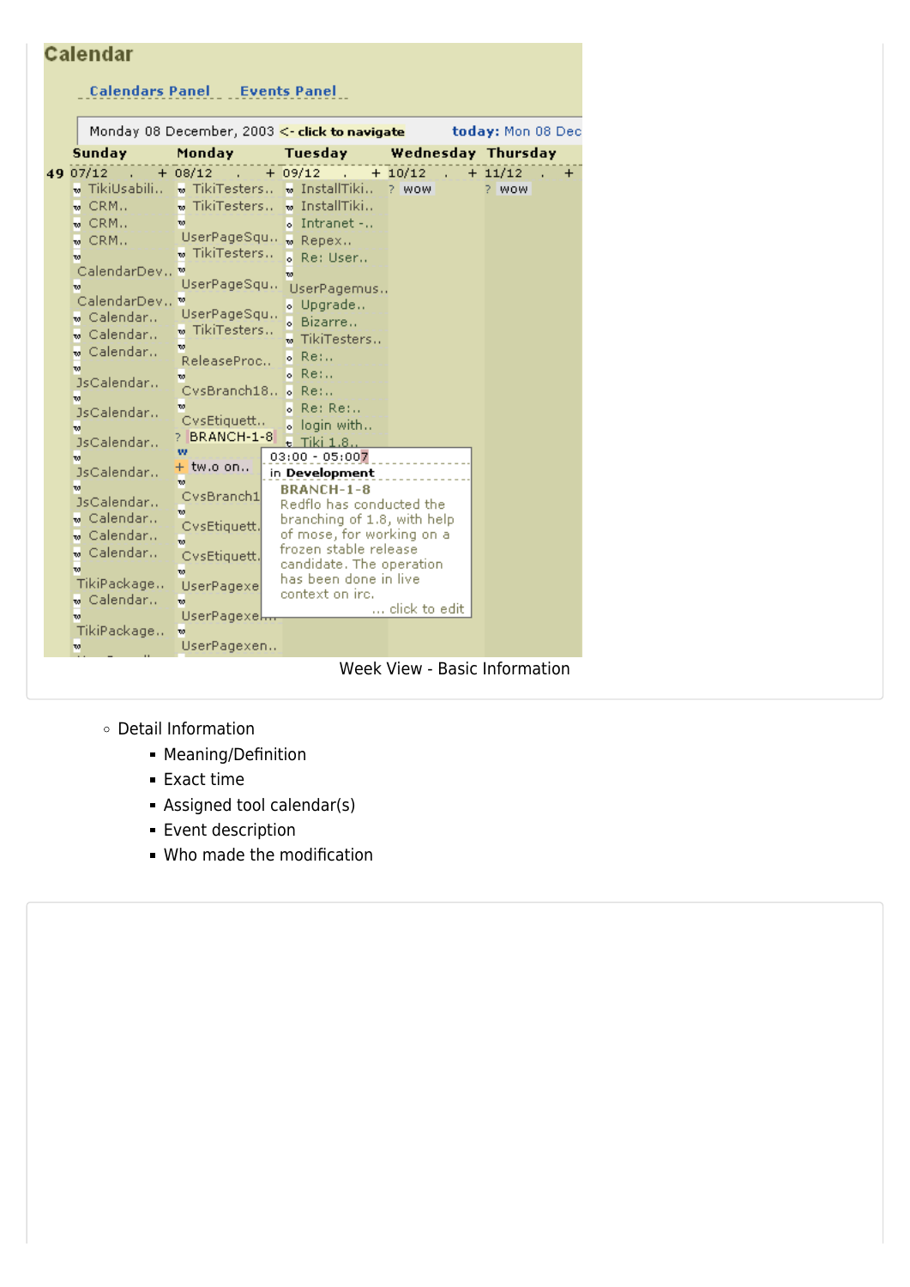| Calendar         |                                                                                                                                                                                              |                                                                                                                                       |                                                                                                                                                       |                                           |                                                                                                                                                                                                                                                                                                                                                              |                                                                                                                             |                                                                                                                                   |                                                             |
|------------------|----------------------------------------------------------------------------------------------------------------------------------------------------------------------------------------------|---------------------------------------------------------------------------------------------------------------------------------------|-------------------------------------------------------------------------------------------------------------------------------------------------------|-------------------------------------------|--------------------------------------------------------------------------------------------------------------------------------------------------------------------------------------------------------------------------------------------------------------------------------------------------------------------------------------------------------------|-----------------------------------------------------------------------------------------------------------------------------|-----------------------------------------------------------------------------------------------------------------------------------|-------------------------------------------------------------|
|                  |                                                                                                                                                                                              |                                                                                                                                       |                                                                                                                                                       |                                           |                                                                                                                                                                                                                                                                                                                                                              |                                                                                                                             |                                                                                                                                   |                                                             |
|                  |                                                                                                                                                                                              |                                                                                                                                       |                                                                                                                                                       |                                           |                                                                                                                                                                                                                                                                                                                                                              |                                                                                                                             |                                                                                                                                   |                                                             |
|                  |                                                                                                                                                                                              |                                                                                                                                       |                                                                                                                                                       |                                           |                                                                                                                                                                                                                                                                                                                                                              |                                                                                                                             |                                                                                                                                   |                                                             |
| Sunday           | Monday                                                                                                                                                                                       |                                                                                                                                       |                                                                                                                                                       |                                           |                                                                                                                                                                                                                                                                                                                                                              |                                                                                                                             |                                                                                                                                   |                                                             |
| 49 07/12         | <b>Contract</b>                                                                                                                                                                              |                                                                                                                                       |                                                                                                                                                       | <b>Contractor</b>                         |                                                                                                                                                                                                                                                                                                                                                              |                                                                                                                             |                                                                                                                                   | $\ddot{}$                                                   |
| ⊕ TikiUsabili… I |                                                                                                                                                                                              |                                                                                                                                       |                                                                                                                                                       |                                           | ? WOW                                                                                                                                                                                                                                                                                                                                                        |                                                                                                                             | ? WOW                                                                                                                             |                                                             |
| $\mathbf{w}$ CRM |                                                                                                                                                                                              |                                                                                                                                       |                                                                                                                                                       |                                           |                                                                                                                                                                                                                                                                                                                                                              |                                                                                                                             |                                                                                                                                   |                                                             |
| $\mathbf{w}$ CRM | $\overline{\mathbf{w}}$                                                                                                                                                                      |                                                                                                                                       |                                                                                                                                                       |                                           |                                                                                                                                                                                                                                                                                                                                                              |                                                                                                                             |                                                                                                                                   |                                                             |
| $\mathbf{w}$ CRM |                                                                                                                                                                                              |                                                                                                                                       |                                                                                                                                                       |                                           |                                                                                                                                                                                                                                                                                                                                                              |                                                                                                                             |                                                                                                                                   |                                                             |
| w.               |                                                                                                                                                                                              |                                                                                                                                       |                                                                                                                                                       |                                           |                                                                                                                                                                                                                                                                                                                                                              |                                                                                                                             |                                                                                                                                   |                                                             |
|                  | w                                                                                                                                                                                            |                                                                                                                                       |                                                                                                                                                       |                                           |                                                                                                                                                                                                                                                                                                                                                              |                                                                                                                             |                                                                                                                                   |                                                             |
| w                |                                                                                                                                                                                              |                                                                                                                                       |                                                                                                                                                       |                                           |                                                                                                                                                                                                                                                                                                                                                              |                                                                                                                             |                                                                                                                                   |                                                             |
|                  |                                                                                                                                                                                              |                                                                                                                                       |                                                                                                                                                       |                                           |                                                                                                                                                                                                                                                                                                                                                              |                                                                                                                             |                                                                                                                                   |                                                             |
|                  |                                                                                                                                                                                              |                                                                                                                                       |                                                                                                                                                       |                                           |                                                                                                                                                                                                                                                                                                                                                              |                                                                                                                             |                                                                                                                                   |                                                             |
|                  |                                                                                                                                                                                              |                                                                                                                                       |                                                                                                                                                       |                                           |                                                                                                                                                                                                                                                                                                                                                              |                                                                                                                             |                                                                                                                                   |                                                             |
|                  |                                                                                                                                                                                              |                                                                                                                                       | ۰                                                                                                                                                     |                                           |                                                                                                                                                                                                                                                                                                                                                              |                                                                                                                             |                                                                                                                                   |                                                             |
|                  | w                                                                                                                                                                                            |                                                                                                                                       | ы                                                                                                                                                     |                                           |                                                                                                                                                                                                                                                                                                                                                              |                                                                                                                             |                                                                                                                                   |                                                             |
|                  |                                                                                                                                                                                              |                                                                                                                                       |                                                                                                                                                       |                                           |                                                                                                                                                                                                                                                                                                                                                              |                                                                                                                             |                                                                                                                                   |                                                             |
| JsCalendar       | w                                                                                                                                                                                            |                                                                                                                                       |                                                                                                                                                       |                                           |                                                                                                                                                                                                                                                                                                                                                              |                                                                                                                             |                                                                                                                                   |                                                             |
| TO.              |                                                                                                                                                                                              |                                                                                                                                       |                                                                                                                                                       |                                           |                                                                                                                                                                                                                                                                                                                                                              |                                                                                                                             |                                                                                                                                   |                                                             |
| JsCalendar       |                                                                                                                                                                                              |                                                                                                                                       |                                                                                                                                                       |                                           |                                                                                                                                                                                                                                                                                                                                                              |                                                                                                                             |                                                                                                                                   |                                                             |
|                  |                                                                                                                                                                                              |                                                                                                                                       |                                                                                                                                                       |                                           |                                                                                                                                                                                                                                                                                                                                                              |                                                                                                                             |                                                                                                                                   |                                                             |
|                  |                                                                                                                                                                                              |                                                                                                                                       |                                                                                                                                                       |                                           |                                                                                                                                                                                                                                                                                                                                                              |                                                                                                                             |                                                                                                                                   |                                                             |
|                  |                                                                                                                                                                                              |                                                                                                                                       |                                                                                                                                                       |                                           |                                                                                                                                                                                                                                                                                                                                                              |                                                                                                                             |                                                                                                                                   |                                                             |
|                  | w.                                                                                                                                                                                           |                                                                                                                                       |                                                                                                                                                       |                                           |                                                                                                                                                                                                                                                                                                                                                              |                                                                                                                             |                                                                                                                                   |                                                             |
|                  | CysEtiquett.                                                                                                                                                                                 |                                                                                                                                       |                                                                                                                                                       |                                           |                                                                                                                                                                                                                                                                                                                                                              |                                                                                                                             |                                                                                                                                   |                                                             |
|                  | $\mathbf{w}$                                                                                                                                                                                 |                                                                                                                                       |                                                                                                                                                       |                                           |                                                                                                                                                                                                                                                                                                                                                              |                                                                                                                             |                                                                                                                                   |                                                             |
|                  |                                                                                                                                                                                              |                                                                                                                                       |                                                                                                                                                       |                                           |                                                                                                                                                                                                                                                                                                                                                              |                                                                                                                             |                                                                                                                                   |                                                             |
|                  |                                                                                                                                                                                              |                                                                                                                                       |                                                                                                                                                       |                                           |                                                                                                                                                                                                                                                                                                                                                              |                                                                                                                             |                                                                                                                                   |                                                             |
|                  |                                                                                                                                                                                              |                                                                                                                                       |                                                                                                                                                       |                                           |                                                                                                                                                                                                                                                                                                                                                              |                                                                                                                             |                                                                                                                                   |                                                             |
| w                |                                                                                                                                                                                              |                                                                                                                                       |                                                                                                                                                       |                                           |                                                                                                                                                                                                                                                                                                                                                              |                                                                                                                             |                                                                                                                                   |                                                             |
| TikiPackage      | w                                                                                                                                                                                            |                                                                                                                                       |                                                                                                                                                       |                                           |                                                                                                                                                                                                                                                                                                                                                              |                                                                                                                             |                                                                                                                                   |                                                             |
| w                |                                                                                                                                                                                              |                                                                                                                                       |                                                                                                                                                       |                                           |                                                                                                                                                                                                                                                                                                                                                              |                                                                                                                             |                                                                                                                                   |                                                             |
|                  | w Calendar<br>« Calendar<br>w Calendar<br>TO.<br>JsCalendar<br>10<br>JsCalendar<br>$\mathbf{v}$<br>JsCalendar<br>w Calendar<br>w Calendar…<br>w Calendar…<br>w<br>TikiPackage<br>w Calendar… | $+ 08/12$<br>CalendarDev<br>CalendarDev<br>w<br>w<br>+ tw.o on<br>w.<br>CysBranch1<br>CvsEtiquett.<br>w<br>UserPagexe<br>$\mathbf{w}$ | w TikiTesters<br>UserPageSqu<br>UserPageSqu<br>w TikiTesters<br>ReleaseProc<br>CysBranch18<br>CvsEtiquett<br>BRANCH-1-8<br>UserPagexel<br>UserPagexen | $\overline{w}$ TikiTesters $\overline{w}$ | <b>Calendars Panel Events Panel</b><br>$+ 09/12$<br>» InstallTiki<br>w TikiTesters w InstallTiki<br>o Intranet -<br>UserPageSqu. . Repex<br>。Re: User<br>。Upgrade<br>Bizarre<br>TikiTesters<br>$Re:$<br>$Re:$<br>$\circ$ Re:<br>$Re: Re:$<br>login with<br>$\epsilon$ Tiki 1.8<br>$03:00 - 05:007$<br>in Development<br><b>BRANCH-1-8</b><br>context on irc. | Monday 08 December, 2003 <- click to navigate<br>$+ 10/12$<br>UserPagemus<br>frozen stable release<br>has been done in live | Redflo has conducted the<br>branching of 1.8, with help<br>of mose, for working on a<br>candidate. The operation<br>click to edit | today: Mon 08 Dec<br>Tuesday Wednesday Thursday<br>$+11/12$ |

- Detail Information
	- **Meaning/Definition**
	- Exact time
	- Assigned tool calendar(s)
	- **Event description**
	- Who made the modification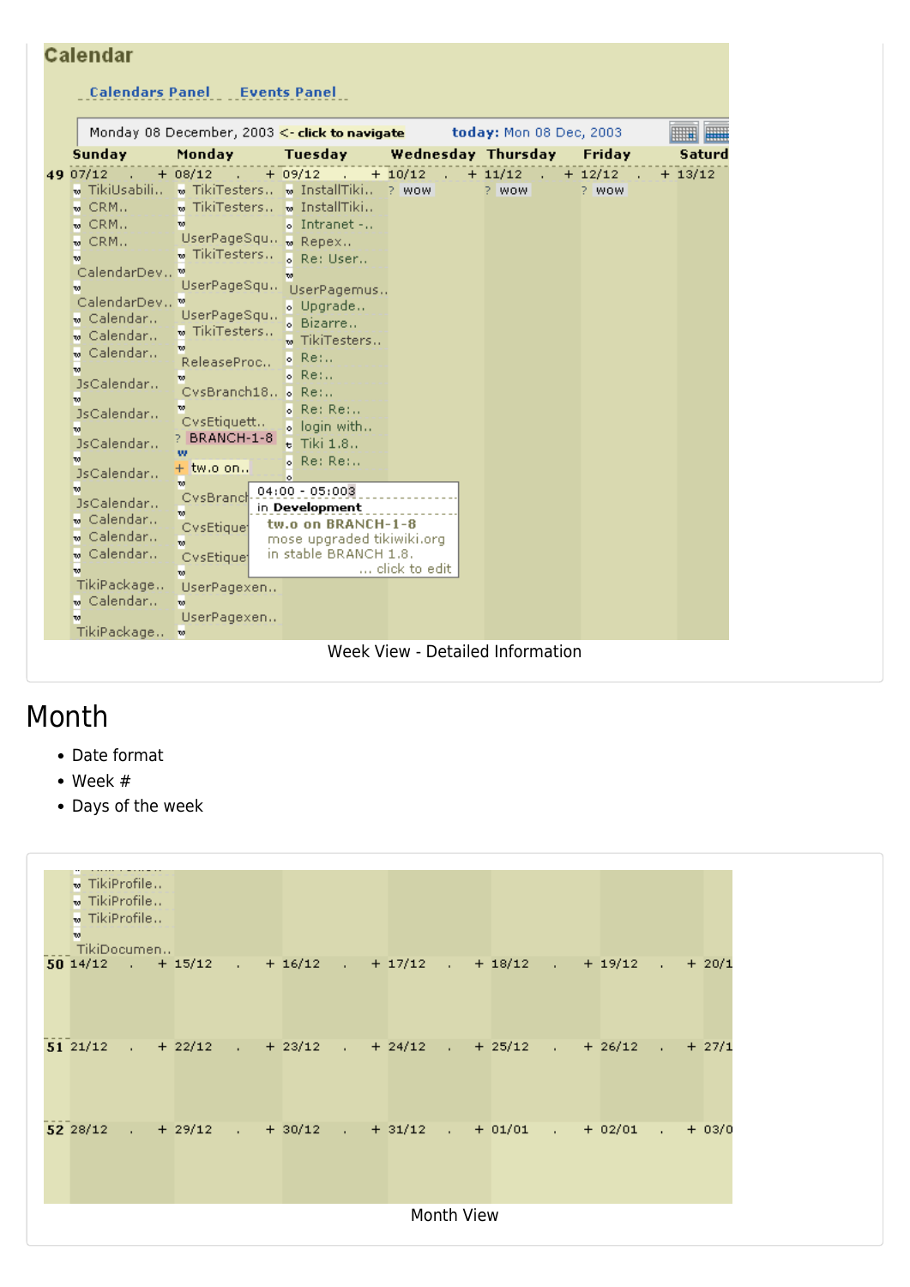| Calendar                                                                                                                                                                                                                                                                                                                                                                                                             |                                                                                                                                                                                                                                                                                                                                                                                                                                                                                              |                                                                                                                                                                                                                                                                                                                                       |                                    |                         |                    |           |
|----------------------------------------------------------------------------------------------------------------------------------------------------------------------------------------------------------------------------------------------------------------------------------------------------------------------------------------------------------------------------------------------------------------------|----------------------------------------------------------------------------------------------------------------------------------------------------------------------------------------------------------------------------------------------------------------------------------------------------------------------------------------------------------------------------------------------------------------------------------------------------------------------------------------------|---------------------------------------------------------------------------------------------------------------------------------------------------------------------------------------------------------------------------------------------------------------------------------------------------------------------------------------|------------------------------------|-------------------------|--------------------|-----------|
|                                                                                                                                                                                                                                                                                                                                                                                                                      | <b>Calendars Panel Events Panel</b>                                                                                                                                                                                                                                                                                                                                                                                                                                                          |                                                                                                                                                                                                                                                                                                                                       |                                    |                         |                    |           |
|                                                                                                                                                                                                                                                                                                                                                                                                                      | Monday 08 December, 2003 <- click to navigate                                                                                                                                                                                                                                                                                                                                                                                                                                                |                                                                                                                                                                                                                                                                                                                                       |                                    | today: Mon 08 Dec, 2003 |                    |           |
| <b>Sunday</b>                                                                                                                                                                                                                                                                                                                                                                                                        | Monday                                                                                                                                                                                                                                                                                                                                                                                                                                                                                       | <b>Tuesday</b>                                                                                                                                                                                                                                                                                                                        | Wednesday Thursday                 |                         | Friday             | Saturd    |
| 49 07/12<br>» TikiUsabili -<br>$\mathbf{w}$ CRM<br>$\mathbf{w}$ CRM<br>$\mathbf{w}$ CRM<br>w<br>CalendarDev., ™<br>w.<br>CalendarDev ™<br>w Calendar…<br>w Calendar<br>w Calendar…<br>w<br>JsCalendar<br>$\mathbf{w}$<br>JsCalendar<br>$\mathbf{w}$<br>JsCalendar<br>$\mathbf{w}$<br>JsCalendar<br>w.<br>JsCalendar<br>w Calendar<br>w Calendar<br>w Calendar<br>w.<br>TikiPackage<br>w Calendar<br>w<br>TikiPackage | $+ 08/12$<br>$\mathcal{L}^{\mathcal{L}}$<br>$\mathbf w$ TikiTesters $\mathbf w$ InstallTiki<br>$\bullet$ TikiTesters $\bullet$ InstallTiki<br>w<br>UserPageSqu. w Repex<br>w TikiTesters<br>UserPageSqu<br>UserPageSqu<br>w TikiTesters<br>w.<br>ReleaseProc<br>$\mathbf{w}$<br>CysBranch18 . Re:<br>w<br>CvsEtiquett<br>PBRANCH-1-8<br>w<br>$+$ tw.o on<br>w<br>CvsBrancl<br>w<br>CysEtique<br>$\overline{\mathbf{w}}$<br>CysEtique<br>$\mathbf{w}$<br>UserPagexen<br>w<br>UserPagexen<br>w | $+ 09/12$<br>。Intranet -<br>. Re: User<br>w<br>UserPagemus<br>。 Upgrade<br><b>&amp; Bizarre</b><br>TikiTesters<br>$\circ$ Re:<br>$\circ$ Re:<br>$o$ Re: Re:<br>. login with<br>$E$ Tiki $1.8$<br>Re: Re:<br>ы<br>ы<br>$04:00 - 05:003$<br>in Development<br>tw.o on BRANCH-1-8<br>mose upgraded tikiwiki.org<br>in stable BRANCH 1.8. | $+10/12$<br>? WOW<br>click to edit | $+ 11/12$<br>? WOW      | $+ 12/12$<br>? WOW | $+ 13/12$ |
|                                                                                                                                                                                                                                                                                                                                                                                                                      |                                                                                                                                                                                                                                                                                                                                                                                                                                                                                              |                                                                                                                                                                                                                                                                                                                                       | Week View - Detailed Information   |                         |                    |           |

#### Month

- Date format
- Week #
- Days of the week

|  | $\infty$ | $\bullet$ TikiProfile<br>$\bullet$ TikiProfile<br>$\bullet$ TikiProfile<br>  TikiDocumen |  |  |  |                                                                         |  |  |  |  |  |
|--|----------|------------------------------------------------------------------------------------------|--|--|--|-------------------------------------------------------------------------|--|--|--|--|--|
|  |          |                                                                                          |  |  |  | 50 14/12 . + 15/12 . + 16/12 . + 17/12 . + 18/12 . + 19/12 . + 20/1     |  |  |  |  |  |
|  |          |                                                                                          |  |  |  | 51 21/12 $+22/12$ $+23/12$ $+24/12$ $+25/12$ $+25/12$ $+26/12$ $+27/12$ |  |  |  |  |  |
|  |          |                                                                                          |  |  |  | 52 28/12 . + 29/12 . + 30/12 . + 31/12 . + 01/01 . + 02/01 . + 03/0     |  |  |  |  |  |
|  |          |                                                                                          |  |  |  | <b>Month View</b>                                                       |  |  |  |  |  |